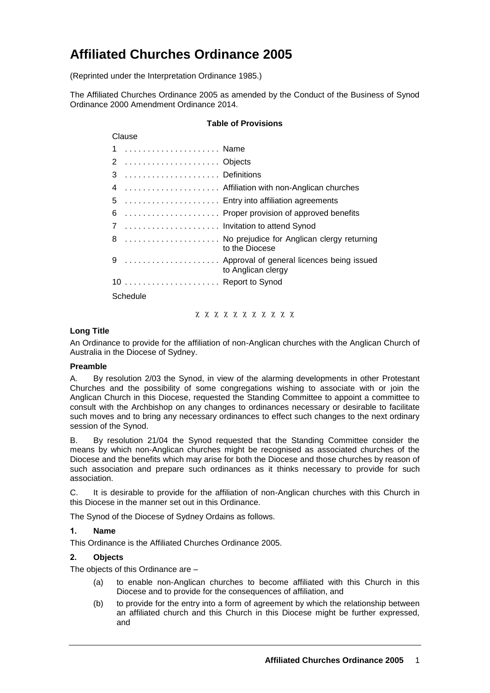# **Affiliated Churches Ordinance 2005**

(Reprinted under the Interpretation Ordinance 1985.)

The Affiliated Churches Ordinance 2005 as amended by the Conduct of the Business of Synod Ordinance 2000 Amendment Ordinance 2014.

#### **Table of Provisions**

| Clause                        |                                                                    |  |
|-------------------------------|--------------------------------------------------------------------|--|
| 1  Name                       |                                                                    |  |
| 2  Objects                    |                                                                    |  |
|                               |                                                                    |  |
|                               | 4  Affiliation with non-Anglican churches                          |  |
|                               | 5  Entry into affiliation agreements                               |  |
|                               | 6  Proper provision of approved benefits                           |  |
| 7  Invitation to attend Synod |                                                                    |  |
|                               | 8  No prejudice for Anglican clergy returning<br>to the Diocese    |  |
|                               | 9  Approval of general licences being issued<br>to Anglican clergy |  |
|                               |                                                                    |  |
| Schedule                      |                                                                    |  |

<u> χ χ χ χ χ χ χ χ χ χ</u>

# **Long Title**

An Ordinance to provide for the affiliation of non-Anglican churches with the Anglican Church of Australia in the Diocese of Sydney.

#### **Preamble**

A. By resolution 2/03 the Synod, in view of the alarming developments in other Protestant Churches and the possibility of some congregations wishing to associate with or join the Anglican Church in this Diocese, requested the Standing Committee to appoint a committee to consult with the Archbishop on any changes to ordinances necessary or desirable to facilitate such moves and to bring any necessary ordinances to effect such changes to the next ordinary session of the Synod.

B. By resolution 21/04 the Synod requested that the Standing Committee consider the means by which non-Anglican churches might be recognised as associated churches of the Diocese and the benefits which may arise for both the Diocese and those churches by reason of such association and prepare such ordinances as it thinks necessary to provide for such association.

C. It is desirable to provide for the affiliation of non-Anglican churches with this Church in this Diocese in the manner set out in this Ordinance.

The Synod of the Diocese of Sydney Ordains as follows.

#### **1. Name**

This Ordinance is the Affiliated Churches Ordinance 2005.

#### **2. Objects**

The objects of this Ordinance are –

- (a) to enable non-Anglican churches to become affiliated with this Church in this Diocese and to provide for the consequences of affiliation, and
- (b) to provide for the entry into a form of agreement by which the relationship between an affiliated church and this Church in this Diocese might be further expressed, and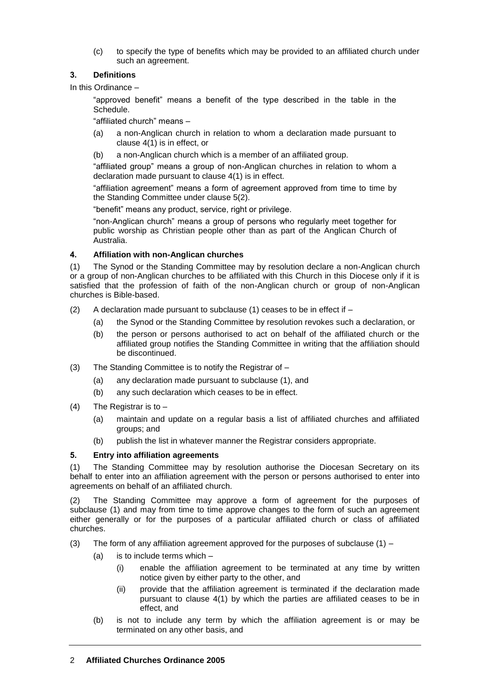(c) to specify the type of benefits which may be provided to an affiliated church under such an agreement.

# **3. Definitions**

In this Ordinance –

"approved benefit" means a benefit of the type described in the table in the Schedule.

"affiliated church" means –

- (a) a non-Anglican church in relation to whom a declaration made pursuant to clause 4(1) is in effect, or
- (b) a non-Anglican church which is a member of an affiliated group.

"affiliated group" means a group of non-Anglican churches in relation to whom a declaration made pursuant to clause 4(1) is in effect.

"affiliation agreement" means a form of agreement approved from time to time by the Standing Committee under clause 5(2).

"benefit" means any product, service, right or privilege.

"non-Anglican church" means a group of persons who regularly meet together for public worship as Christian people other than as part of the Anglican Church of Australia.

# **4. Affiliation with non-Anglican churches**

(1) The Synod or the Standing Committee may by resolution declare a non-Anglican church or a group of non-Anglican churches to be affiliated with this Church in this Diocese only if it is satisfied that the profession of faith of the non-Anglican church or group of non-Anglican churches is Bible-based.

- (2) A declaration made pursuant to subclause (1) ceases to be in effect if
	- (a) the Synod or the Standing Committee by resolution revokes such a declaration, or
	- (b) the person or persons authorised to act on behalf of the affiliated church or the affiliated group notifies the Standing Committee in writing that the affiliation should be discontinued.
- (3) The Standing Committee is to notify the Registrar of
	- (a) any declaration made pursuant to subclause (1), and
	- (b) any such declaration which ceases to be in effect.
- (4) The Registrar is to
	- (a) maintain and update on a regular basis a list of affiliated churches and affiliated groups; and
	- (b) publish the list in whatever manner the Registrar considers appropriate.

#### **5. Entry into affiliation agreements**

(1) The Standing Committee may by resolution authorise the Diocesan Secretary on its behalf to enter into an affiliation agreement with the person or persons authorised to enter into agreements on behalf of an affiliated church.

(2) The Standing Committee may approve a form of agreement for the purposes of subclause (1) and may from time to time approve changes to the form of such an agreement either generally or for the purposes of a particular affiliated church or class of affiliated churches.

- (3) The form of any affiliation agreement approved for the purposes of subclause  $(1)$ 
	- (a) is to include terms which
		- (i) enable the affiliation agreement to be terminated at any time by written notice given by either party to the other, and
		- (ii) provide that the affiliation agreement is terminated if the declaration made pursuant to clause 4(1) by which the parties are affiliated ceases to be in effect, and
	- (b) is not to include any term by which the affiliation agreement is or may be terminated on any other basis, and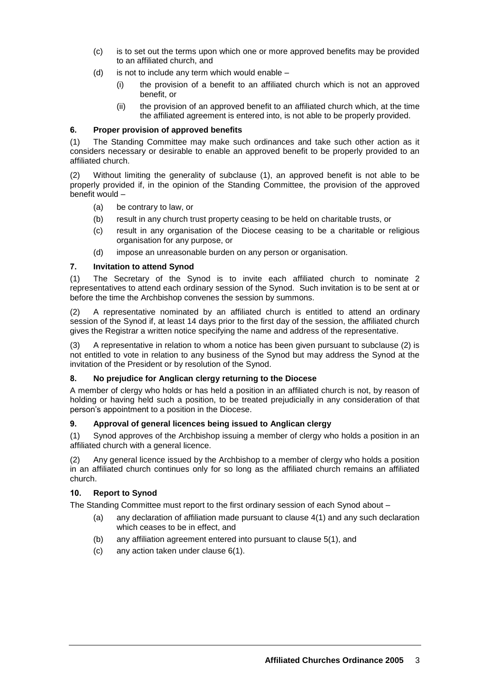- (c) is to set out the terms upon which one or more approved benefits may be provided to an affiliated church, and
- $(d)$  is not to include any term which would enable
	- (i) the provision of a benefit to an affiliated church which is not an approved benefit, or
	- (ii) the provision of an approved benefit to an affiliated church which, at the time the affiliated agreement is entered into, is not able to be properly provided.

#### **6. Proper provision of approved benefits**

(1) The Standing Committee may make such ordinances and take such other action as it considers necessary or desirable to enable an approved benefit to be properly provided to an affiliated church.

(2) Without limiting the generality of subclause (1), an approved benefit is not able to be properly provided if, in the opinion of the Standing Committee, the provision of the approved benefit would –

- (a) be contrary to law, or
- (b) result in any church trust property ceasing to be held on charitable trusts, or
- (c) result in any organisation of the Diocese ceasing to be a charitable or religious organisation for any purpose, or
- (d) impose an unreasonable burden on any person or organisation.

# **7. Invitation to attend Synod**

(1) The Secretary of the Synod is to invite each affiliated church to nominate 2 representatives to attend each ordinary session of the Synod. Such invitation is to be sent at or before the time the Archbishop convenes the session by summons.

(2) A representative nominated by an affiliated church is entitled to attend an ordinary session of the Synod if, at least 14 days prior to the first day of the session, the affiliated church gives the Registrar a written notice specifying the name and address of the representative.

(3) A representative in relation to whom a notice has been given pursuant to subclause (2) is not entitled to vote in relation to any business of the Synod but may address the Synod at the invitation of the President or by resolution of the Synod.

#### **8. No prejudice for Anglican clergy returning to the Diocese**

A member of clergy who holds or has held a position in an affiliated church is not, by reason of holding or having held such a position, to be treated prejudicially in any consideration of that person's appointment to a position in the Diocese.

#### **9. Approval of general licences being issued to Anglican clergy**

(1) Synod approves of the Archbishop issuing a member of clergy who holds a position in an affiliated church with a general licence.

(2) Any general licence issued by the Archbishop to a member of clergy who holds a position in an affiliated church continues only for so long as the affiliated church remains an affiliated church.

#### **10. Report to Synod**

The Standing Committee must report to the first ordinary session of each Synod about –

- (a) any declaration of affiliation made pursuant to clause 4(1) and any such declaration which ceases to be in effect, and
- (b) any affiliation agreement entered into pursuant to clause 5(1), and
- (c) any action taken under clause 6(1).